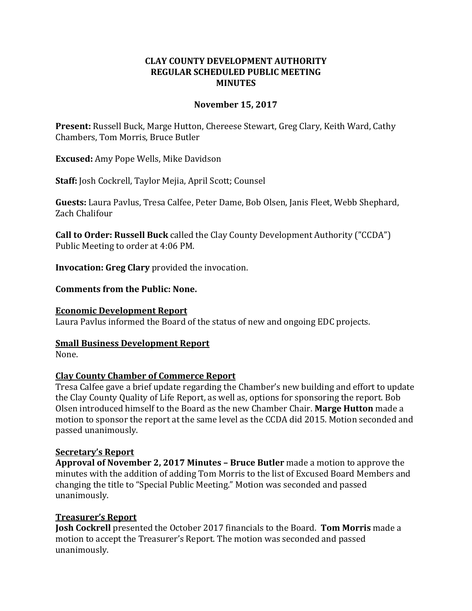# **CLAY COUNTY DEVELOPMENT AUTHORITY REGULAR SCHEDULED PUBLIC MEETING MINUTES**

## **November 15, 2017**

**Present:** Russell Buck, Marge Hutton, Chereese Stewart, Greg Clary, Keith Ward, Cathy Chambers, Tom Morris, Bruce Butler

**Excused:** Amy Pope Wells, Mike Davidson

**Staff:** Josh Cockrell, Taylor Mejia, April Scott; Counsel

**Guests:** Laura Pavlus, Tresa Calfee, Peter Dame, Bob Olsen, Janis Fleet, Webb Shephard, Zach Chalifour

**Call to Order: Russell Buck** called the Clay County Development Authority ("CCDA") Public Meeting to order at 4:06 PM.

**Invocation: Greg Clary** provided the invocation.

### **Comments from the Public: None.**

#### **Economic Development Report**

Laura Pavlus informed the Board of the status of new and ongoing EDC projects.

# **Small Business Development Report**

None.

# **Clay County Chamber of Commerce Report**

Tresa Calfee gave a brief update regarding the Chamber's new building and effort to update the Clay County Quality of Life Report, as well as, options for sponsoring the report. Bob Olsen introduced himself to the Board as the new Chamber Chair. **Marge Hutton** made a motion to sponsor the report at the same level as the CCDA did 2015. Motion seconded and passed unanimously.

#### **Secretary's Report**

**Approval of November 2, 2017 Minutes – Bruce Butler** made a motion to approve the minutes with the addition of adding Tom Morris to the list of Excused Board Members and changing the title to "Special Public Meeting." Motion was seconded and passed unanimously.

# **Treasurer's Report**

**Josh Cockrell** presented the October 2017 financials to the Board. **Tom Morris** made a motion to accept the Treasurer's Report. The motion was seconded and passed unanimously.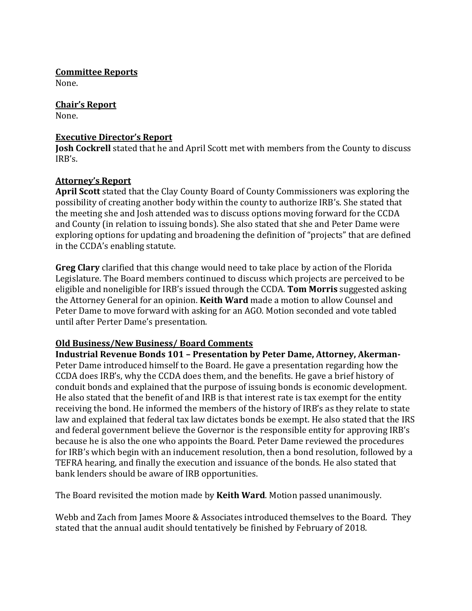**Committee Reports** None.

**Chair's Report** None.

## **Executive Director's Report**

**Josh Cockrell** stated that he and April Scott met with members from the County to discuss IRB's.

# **Attorney's Report**

**April Scott** stated that the Clay County Board of County Commissioners was exploring the possibility of creating another body within the county to authorize IRB's. She stated that the meeting she and Josh attended was to discuss options moving forward for the CCDA and County (in relation to issuing bonds). She also stated that she and Peter Dame were exploring options for updating and broadening the definition of "projects" that are defined in the CCDA's enabling statute.

**Greg Clary** clarified that this change would need to take place by action of the Florida Legislature. The Board members continued to discuss which projects are perceived to be eligible and noneligible for IRB's issued through the CCDA. **Tom Morris** suggested asking the Attorney General for an opinion. **Keith Ward** made a motion to allow Counsel and Peter Dame to move forward with asking for an AGO. Motion seconded and vote tabled until after Perter Dame's presentation.

# **Old Business/New Business/ Board Comments**

**Industrial Revenue Bonds 101 – Presentation by Peter Dame, Attorney, Akerman-**Peter Dame introduced himself to the Board. He gave a presentation regarding how the CCDA does IRB's, why the CCDA does them, and the benefits. He gave a brief history of conduit bonds and explained that the purpose of issuing bonds is economic development. He also stated that the benefit of and IRB is that interest rate is tax exempt for the entity receiving the bond. He informed the members of the history of IRB's as they relate to state law and explained that federal tax law dictates bonds be exempt. He also stated that the IRS and federal government believe the Governor is the responsible entity for approving IRB's because he is also the one who appoints the Board. Peter Dame reviewed the procedures for IRB's which begin with an inducement resolution, then a bond resolution, followed by a TEFRA hearing, and finally the execution and issuance of the bonds. He also stated that bank lenders should be aware of IRB opportunities.

The Board revisited the motion made by **Keith Ward**. Motion passed unanimously.

Webb and Zach from James Moore & Associates introduced themselves to the Board. They stated that the annual audit should tentatively be finished by February of 2018.